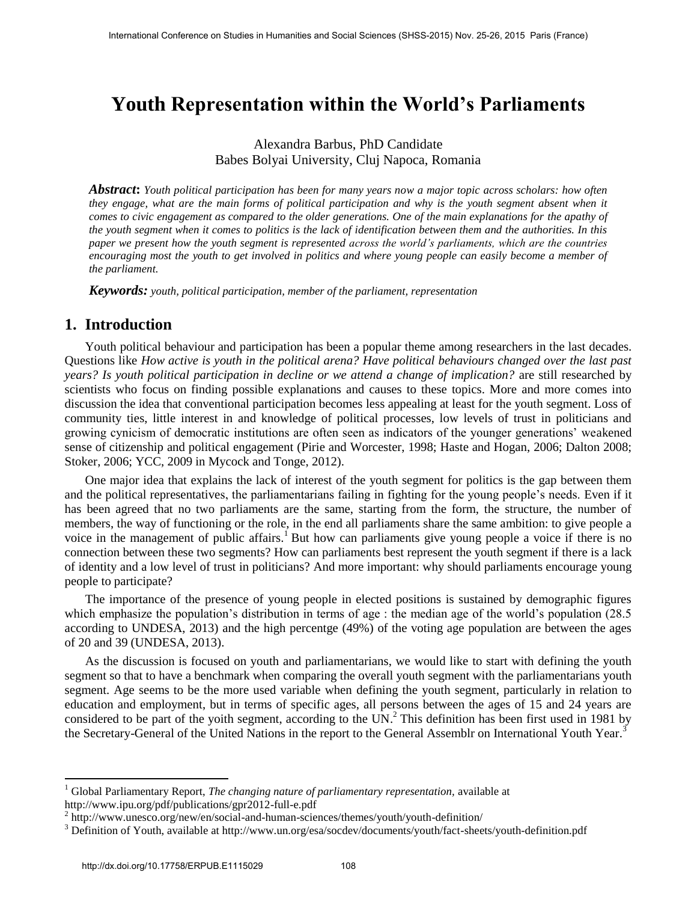## **Youth Representation within the World's Parliaments**

## Alexandra Barbus, PhD Candidate Babes Bolyai University, Cluj Napoca, Romania

*Abstract***:** *Youth political participation has been for many years now a major topic across scholars: how often they engage, what are the main forms of political participation and why is the youth segment absent when it comes to civic engagement as compared to the older generations. One of the main explanations for the apathy of the youth segment when it comes to politics is the lack of identification between them and the authorities. In this paper we present how the youth segment is represented across the world's parliaments, which are the countries encouraging most the youth to get involved in politics and where young people can easily become a member of the parliament.* 

*Keywords: youth, political participation, member of the parliament, representation* 

## **1. Introduction**

Youth political behaviour and participation has been a popular theme among researchers in the last decades. Questions like *How active is youth in the political arena? Have political behaviours changed over the last past years? Is youth political participation in decline or we attend a change of implication?* are still researched by scientists who focus on finding possible explanations and causes to these topics. More and more comes into discussion the idea that conventional participation becomes less appealing at least for the youth segment. Loss of community ties, little interest in and knowledge of political processes, low levels of trust in politicians and growing cynicism of democratic institutions are often seen as indicators of the younger generations' weakened sense of citizenship and political engagement (Pirie and Worcester, 1998; Haste and Hogan, 2006; Dalton 2008; Stoker, 2006; YCC, 2009 in Mycock and Tonge, 2012).

One major idea that explains the lack of interest of the youth segment for politics is the gap between them and the political representatives, the parliamentarians failing in fighting for the young people's needs. Even if it has been agreed that no two parliaments are the same, starting from the form, the structure, the number of members, the way of functioning or the role, in the end all parliaments share the same ambition: to give people a voice in the management of public affairs.<sup>1</sup> But how can parliaments give young people a voice if there is no connection between these two segments? How can parliaments best represent the youth segment if there is a lack of identity and a low level of trust in politicians? And more important: why should parliaments encourage young people to participate?

The importance of the presence of young people in elected positions is sustained by demographic figures which emphasize the population's distribution in terms of age : the median age of the world's population (28.5) according to UNDESA, 2013) and the high percentge (49%) of the voting age population are between the ages of 20 and 39 (UNDESA, 2013).

As the discussion is focused on youth and parliamentarians, we would like to start with defining the youth segment so that to have a benchmark when comparing the overall youth segment with the parliamentarians youth segment. Age seems to be the more used variable when defining the youth segment, particularly in relation to education and employment, but in terms of specific ages, all persons between the ages of 15 and 24 years are considered to be part of the yoith segment, according to the UN.<sup>2</sup> This definition has been first used in 1981 by the Secretary-General of the United Nations in the report to the General Assemblr on International Youth Year.<sup>3</sup>

 $\ddot{\phantom{a}}$ 

<sup>&</sup>lt;sup>1</sup> Global Parliamentary Report, *The changing nature of parliamentary representation*, available at http://www.ipu.org/pdf/publications/gpr2012-full-e.pdf

<sup>&</sup>lt;sup>2</sup> http://www.unesco.org/new/en/social-and-human-sciences/themes/youth/youth-definition/

<sup>&</sup>lt;sup>3</sup> Definition of Youth, available at http://www.un.org/esa/socdev/documents/youth/fact-sheets/youth-definition.pdf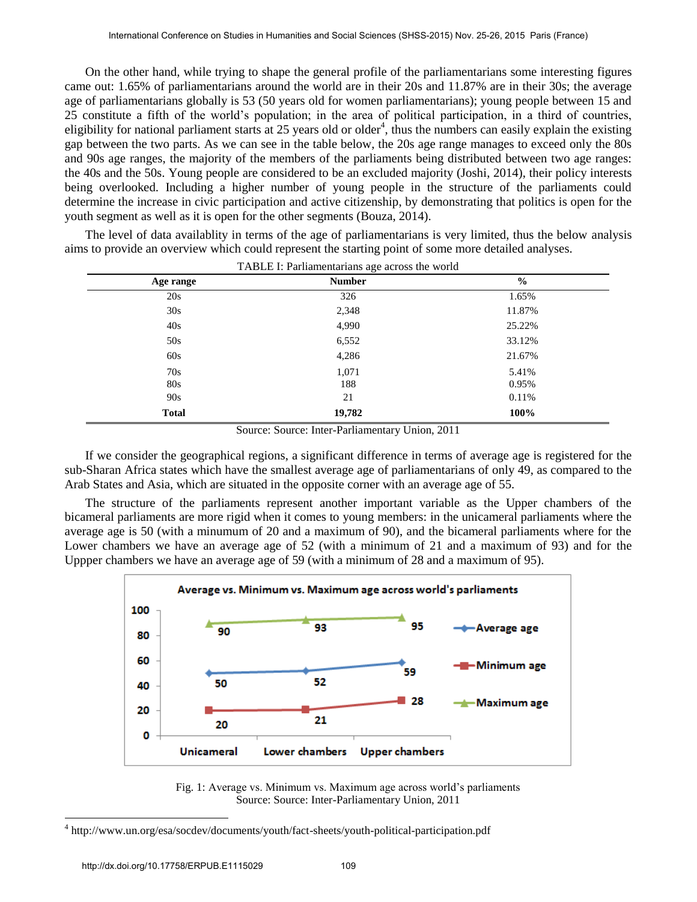On the other hand, while trying to shape the general profile of the parliamentarians some interesting figures came out: 1.65% of parliamentarians around the world are in their 20s and 11.87% are in their 30s; the average age of parliamentarians globally is 53 (50 years old for women parliamentarians); young people between 15 and 25 constitute a fifth of the world's population; in the area of political participation, in a third of countries, eligibility for national parliament starts at 25 years old or older<sup>4</sup>, thus the numbers can easily explain the existing gap between the two parts. As we can see in the table below, the 20s age range manages to exceed only the 80s and 90s age ranges, the majority of the members of the parliaments being distributed between two age ranges: the 40s and the 50s. Young people are considered to be an excluded majority (Joshi, 2014), their policy interests being overlooked. Including a higher number of young people in the structure of the parliaments could determine the increase in civic participation and active citizenship, by demonstrating that politics is open for the youth segment as well as it is open for the other segments (Bouza, 2014).

TABLE I: Parliamentarians age across the world **Age range Number %** 20s 326 1.65% 30s 2,348 11.87% 40s 4,990 25.22% 50s 6,552 33.12% 60s 4,286 21.67% 70s 1,071 5.41% 80s 188 0.95% 90s 21 0.11% **Total 19,782 100%**

The level of data availablity in terms of the age of parliamentarians is very limited, thus the below analysis aims to provide an overview which could represent the starting point of some more detailed analyses.

Source: Source: Inter-Parliamentary Union, 2011

If we consider the geographical regions, a significant difference in terms of average age is registered for the sub-Sharan Africa states which have the smallest average age of parliamentarians of only 49, as compared to the Arab States and Asia, which are situated in the opposite corner with an average age of 55.

The structure of the parliaments represent another important variable as the Upper chambers of the bicameral parliaments are more rigid when it comes to young members: in the unicameral parliaments where the average age is 50 (with a minumum of 20 and a maximum of 90), and the bicameral parliaments where for the Lower chambers we have an average age of 52 (with a minimum of 21 and a maximum of 93) and for the Uppper chambers we have an average age of 59 (with a minimum of 28 and a maximum of 95).



Fig. 1: Average vs. Minimum vs. Maximum age across world's parliaments Source: Source: Inter-Parliamentary Union, 2011

 $\overline{a}$ 

<sup>4</sup> http://www.un.org/esa/socdev/documents/youth/fact-sheets/youth-political-participation.pdf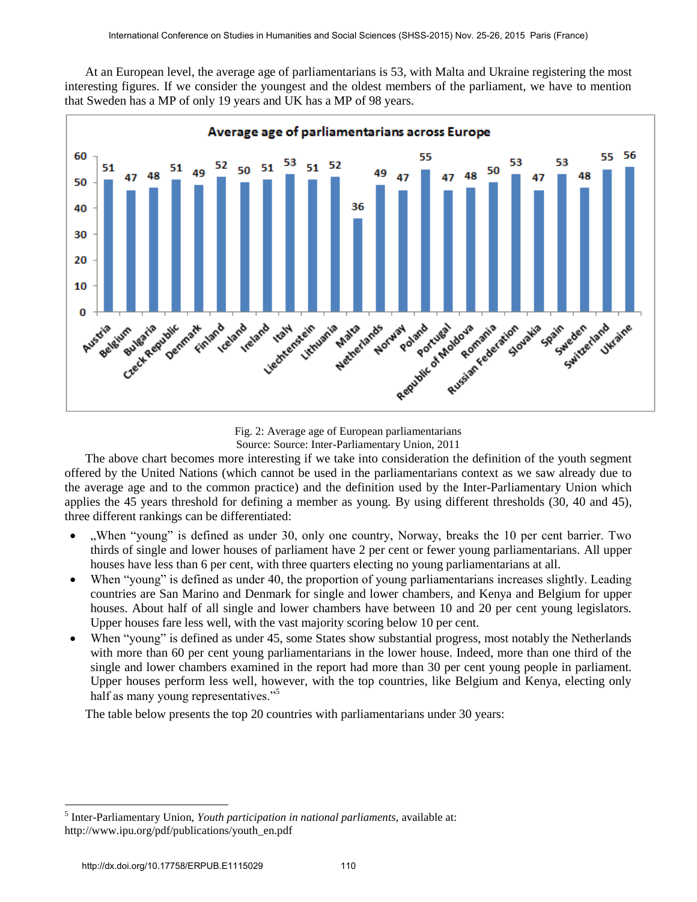At an European level, the average age of parliamentarians is 53, with Malta and Ukraine registering the most interesting figures. If we consider the youngest and the oldest members of the parliament, we have to mention that Sweden has a MP of only 19 years and UK has a MP of 98 years.



Fig. 2: Average age of European parliamentarians Source: Source: Inter-Parliamentary Union, 2011

The above chart becomes more interesting if we take into consideration the definition of the youth segment offered by the United Nations (which cannot be used in the parliamentarians context as we saw already due to the average age and to the common practice) and the definition used by the Inter-Parliamentary Union which applies the 45 years threshold for defining a member as young. By using different thresholds (30, 40 and 45), three different rankings can be differentiated:

- "When "young" is defined as under 30, only one country, Norway, breaks the 10 per cent barrier. Two thirds of single and lower houses of parliament have 2 per cent or fewer young parliamentarians. All upper houses have less than 6 per cent, with three quarters electing no young parliamentarians at all.
- When "young" is defined as under 40, the proportion of young parliamentarians increases slightly. Leading countries are San Marino and Denmark for single and lower chambers, and Kenya and Belgium for upper houses. About half of all single and lower chambers have between 10 and 20 per cent young legislators. Upper houses fare less well, with the vast majority scoring below 10 per cent.
- When "young" is defined as under 45, some States show substantial progress, most notably the Netherlands with more than 60 per cent young parliamentarians in the lower house. Indeed, more than one third of the single and lower chambers examined in the report had more than 30 per cent young people in parliament. Upper houses perform less well, however, with the top countries, like Belgium and Kenya, electing only half as many young representatives."<sup>5</sup>

The table below presents the top 20 countries with parliamentarians under 30 years:

 $\ddot{\phantom{a}}$ 

<sup>5</sup> Inter-Parliamentary Union, *Youth participation in national parliaments,* available at: http://www.ipu.org/pdf/publications/youth\_en.pdf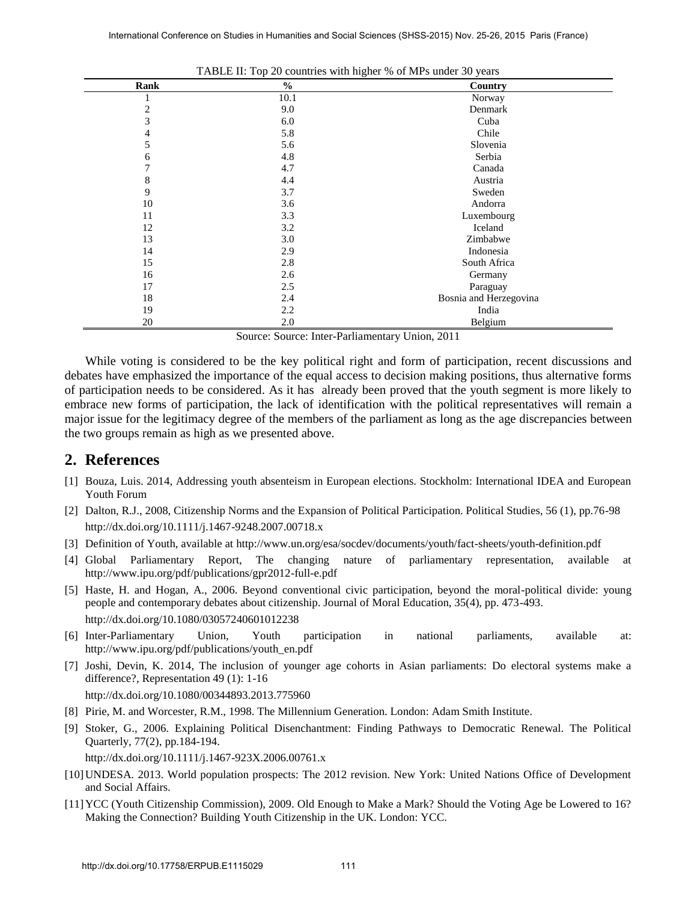| Rank | $\frac{6}{9}$ | Country                |
|------|---------------|------------------------|
|      | 10.1          | Norway                 |
| 2    | 9.0           | Denmark                |
| 3    | 6.0           | Cuba                   |
| 4    | 5.8           | Chile                  |
| 5    | 5.6           | Slovenia               |
| 6    | 4.8           | Serbia                 |
| 7    | 4.7           | Canada                 |
| 8    | 4.4           | Austria                |
| 9    | 3.7           | Sweden                 |
| 10   | 3.6           | Andorra                |
| 11   | 3.3           | Luxembourg             |
| 12   | 3.2           | Iceland                |
| 13   | 3.0           | Zimbabwe               |
| 14   | 2.9           | Indonesia              |
| 15   | 2.8           | South Africa           |
| 16   | 2.6           | Germany                |
| 17   | 2.5           | Paraguay               |
| 18   | 2.4           | Bosnia and Herzegovina |
| 19   | 2.2           | India                  |
| 20   | 2.0           | Belgium                |

| TABLE II: Top 20 countries with higher % of MPs under 30 years |  |  |
|----------------------------------------------------------------|--|--|
|                                                                |  |  |

Source: Source: Inter-Parliamentary Union, 2011

While voting is considered to be the key political right and form of participation, recent discussions and debates have emphasized the importance of the equal access to decision making positions, thus alternative forms of participation needs to be considered. As it has already been proved that the youth segment is more likely to embrace new forms of participation, the lack of identification with the political representatives will remain a major issue for the legitimacy degree of the members of the parliament as long as the age discrepancies between the two groups remain as high as we presented above.

## **2. References**

- [1] Bouza, Luis. 2014, Addressing youth absenteism in European elections. Stockholm: International IDEA and European Youth Forum
- [2] [Dalton, R.J., 2008, Citizenship Norms and the Expansion of Political Participation. Political Studies, 56 \(1\), pp.76-98](http://dx.doi.org/10.1111/j.1467-9248.2007.00718.x) <http://dx.doi.org/10.1111/j.1467-9248.2007.00718.x>
- [3] Definition of Youth, available at<http://www.un.org/esa/socdev/documents/youth/fact-sheets/youth-definition.pdf>
- [4] Global Parliamentary Report, The changing nature of parliamentary representation, available at <http://www.ipu.org/pdf/publications/gpr2012-full-e.pdf>
- [5] [Haste, H. and Hogan, A., 2006. Beyond conventional civic participation, beyond the moral-political divide: young](http://dx.doi.org/10.1080/03057240601012238)  [people and contemporary debates about citizenship. Journal of Moral Education, 35\(4\), pp. 473-493.](http://dx.doi.org/10.1080/03057240601012238)  <http://dx.doi.org/10.1080/03057240601012238>
- [6] Inter-Parliamentary Union, Youth participation in national parliaments, available at: [http://www.ipu.org/pdf/publications/youth\\_en.pdf](http://www.ipu.org/pdf/publications/youth_en.pdf)
- [7] [Joshi, Devin, K. 2014, The inclusion of younger age cohorts in Asian parliaments: Do electoral systems make a](http://dx.doi.org/10.1080/00344893.2013.775960)  [difference?, Representation 49 \(1\): 1-16](http://dx.doi.org/10.1080/00344893.2013.775960) <http://dx.doi.org/10.1080/00344893.2013.775960>
- [8] Pirie, M. and Worcester, R.M., 1998. The Millennium Generation. London: Adam Smith Institute.
- [9] [Stoker, G., 2006. Explaining Political Disenchantment: Finding Pathways to Democratic Renewal. The Political](http://dx.doi.org/10.1111/j.1467-923X.2006.00761.x)  [Quarterly, 77\(2\), pp.184-194.](http://dx.doi.org/10.1111/j.1467-923X.2006.00761.x)

<http://dx.doi.org/10.1111/j.1467-923X.2006.00761.x>

- [10]UNDESA. 2013. World population prospects: The 2012 revision. New York: United Nations Office of Development and Social Affairs.
- [11]YCC (Youth Citizenship Commission), 2009. Old Enough to Make a Mark? Should the Voting Age be Lowered to 16? Making the Connection? Building Youth Citizenship in the UK. London: YCC.